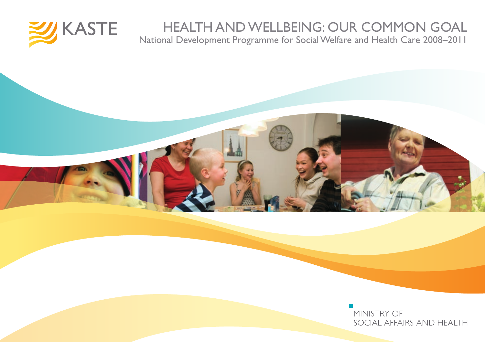

## HEALTH AND WELLBEING: OUR COMMON GOAL

National Development Programme for Social Welfare and Health Care 2008–2011



MINISTRY OF SOCIAL AFFAIRS AND HEALTH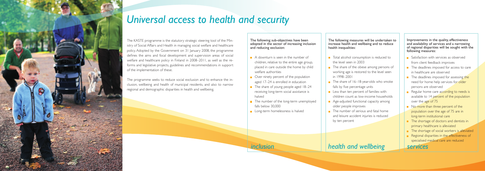The KASTE programme is the statutory strategic steering tool of the Ministry of Social Affairs and Health in managing social welfare and healthcare policy. Adopted by the Government on 31 January 2008, the programme defines the aims and focal development and supervision areas of social welfare and healthcare policy in Finland in 2008–2011, as well as the reforms and legislative projects, guidelines and recommendations in support of the implementation of these.

The following sub-objectives have been adopted in the sector of increasing inclusion and reducing exclusion:

- A downturn is seen in the number of children, relative to the entire age group, placed in care outside the home by child welfare authorities
- Over ninety percent of the population aged 17–24 is enrolled in education
- $\blacksquare$  The share of young people aged 18–24 receiving long-term social assistance is halved
- The number of the long-term unemployed falls below 30,000
- **Long-term homelessness is halved**

The programme seeks to reduce social exclusion and to enhance the inclusion, wellbeing and health of municipal residents, and also to narrow regional and demographic disparities in health and wellbeing.



# *Universal access to health and security*

The following measures will be undertaken to increase health and wellbeing and to reduce health inequalities:

- Satisfaction with services as observed from client feedback improves
- The deadlines imposed for access to care in healthcare are observed
- $\blacksquare$  The deadlines imposed for assessing the need for home help services for older persons are observed
- Regular home care according to needs is available to 14 percent of the population over the age of 75
- No more than three percent of the population over the age of 75 are in long-term institutional care
- The shortage of doctors and dentists in primary healthcare is alleviated
- The shortage of social workers is alleviated
- **Regional disparities in the effectiveness of** specialised medical care are reduced

- Total alcohol consumption is reduced to the level seen in 2003
- $\blacksquare$  The share of the obese among persons of working age is restored to the level seen in 1998–2001
- $\blacksquare$  The share of  $16-18$ -year-olds who smoke falls by five percentage units
- $\blacksquare$  Less than ten percent of families with children count as low-income households
- **Age-adjusted functional capacity among** older people improves
- $\blacksquare$  The number of serious and fatal home and leisure accident injuries is reduced by ten percent

Improvements in the quality, effectiveness and availability of services and a narrowing of regional disparities will be sought with the following measures:

*inclusion health and wellbeing services*

- 
- 
- 
- 
-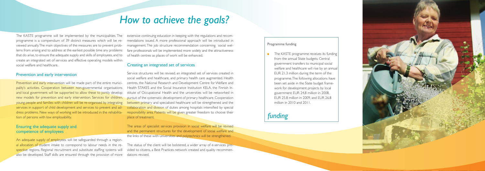# *How to achieve the goals?*

extensive continuing education in keeping with the regulations and recommendations issued. A more professional approach will be introduced in management. The job structure recommendation concerning social welfare professionals will be implemented more widely and the attractiveness of health centres as places of work will be enhanced.

### Creating an integrated set of services

Service structures will be revised, an integrated set of services created in social welfare and healthcare, and primary health care augmented. Health centres, the National Research and Development Centre for Welfare and Health STAKES and the Social Insurance Institution KELA, the Finnish Institute of Occupational Health and the universities will be networked in pursuit of the systematic development of primary healthcare. Cooperation between primary and specialised healthcare will be strengthened and the collaboration and division of duties among hospitals intensified by special responsibility area. Patients will be given greater freedom to choose their place of treatment.

The KASTE programme receives its funding from the annual State budgets. Central government transfers to municipal social welfare and healthcare will rise by an annual EUR 21.3 million during the term of the programme. The following allocations have been set aside in the State budget framework for development projects by local government: EUR 24.8 million in 2008, EUR 25.8 million in 2009, and EUR 26.8 million in 2010 and 2011.

The areas of specialist services provision in social welfare will be revised and the permanent structures for the development of social welfare and the links of these with universities and polytechnics will be strengthened.

The status of the client will be bolstered, a wider array of e-services provided to citizens, a Best Practices network created and quality recommendations revised.

### Programme funding

## *funding*



The KASTE programme will be implemented by the municipalities. The programme is a compendium of 39 distinct measures which will be reviewed annually. The main objectives of the measures are to prevent problems from arising and to address at the earliest possible time any problems that do arise, to ensure the adequate supply and skills of employees, and to create an integrated set of services and effective operating models within social welfare and healthcare.

### Prevention and early intervention

Prevention and early intervention will be made part of the entire municipality's activities. Cooperation between non-governmental organisations and local government will be supported to allow these to jointly develop new models for prevention and early intervention. Services for children, young people and families with children will be re-organised by integrating services in support of child development and services to prevent and address problems. New ways of working will be introduced in the rehabilitation of persons with low employability.

### Ensuring the adequate supply and competence of employees

An adequate supply of employees will be safeguarded through a regional allocation of student intake to correspond to labour needs in the respective regions. Regional recruitment and substitute staffing systems will also be developed. Staff skills are ensured through the provision of more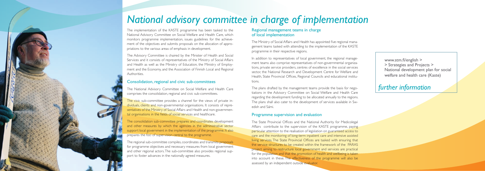The implementation of the KASTE programme has been tasked to the National Advisory Committee on Social Welfare and Health Care, which monitors programme implementation, issues guidelines for the achievement of the objectives and submits proposals on the allocation of appropriations to the various areas of emphasis in development.

The Advisory Committee is chaired by the Minister of Health and Social Services and it consists of representatives of the Ministry of Social Affairs and Health as well as the Ministry of Education, the Ministry of Employment and the Economy, and the Association of Finnish Local and Regional Authorities.

### Consolidation, regional and civic sub-committees

The National Advisory Committee on Social Welfare and Health Care comprises the consolidation, regional and civic sub-committees.

The regional sub-committee compiles, coordinates and transmits proposals for programme objectives and necessary measures from local government and other regional actors. The sub-committee also provides regional support to foster advances in the nationally agreed measures.

The civic sub-committee provides a channel for the views of private individuals, clients and non-governmental organisations. It consists of representatives of the Ministry of Social Affairs and Health and non-governmental organisations in the fields of social services and healthcare.

The consolidation sub-committee prepares and coordinates development and other measures by which the agencies in the administrative sector support local government in the implementation of the programme. It also prepares the foci of supervision central to the programme.

The State Provincial Offices and the National Authority for Medicolegal Affairs contribute to the supervision of the KASTE programme, paying particular attention to the realisation of legislation on guaranteed access to care and the monitoring of long-term inpatient care and intensive assisted living services. The State Provincial Offices are tasked with ensuring that the service structures to be created within the framework of the PARAS project aiming to restructure local government and services are practical for the population and that the promotion of health and wellbeing is taken into account in these. The effectiveness of the programme will also be assessed by an independent outside evaluator.



# *National advisory committee in charge of implementation*

### Regional management teams in charge of local implementation

The Ministry of Social Affairs and Health has appointed five regional management teams tasked with attending to the implementation of the KASTE programme in their respective regions.

In addition to representatives of local government, the regional management teams also comprise representatives of non-governmental organizations, private service providers, centres of excellence in the social services sector, the National Research and Development Centre for Welfare and Health, State Provincial Offices, Regional Councils and educational institutions.

The plans drafted by the management teams provide the basis for negotiations in the Advisory Committee on Social Welfare and Health Care regarding the development funding to be allocated annually to the regions. The plans shall also cater to the development of services available in Swedish and Sámi.

### Programme supervision and evaluation

www.stm.fi/english > > Strategies and Projects > National development plan for social welfare and health care (Kaste)

### *further information*